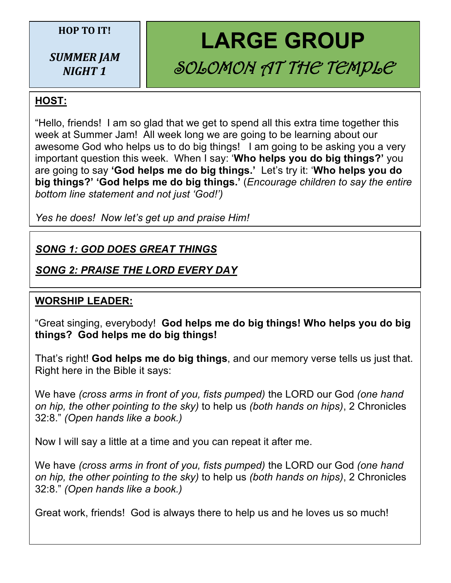#### **HOP TO IT!**

*SUMMER JAM NIGHT 1*

# **LARGE GROUP** SOLOMON AT THE TEMPLE

## **HOST:**

"Hello, friends! I am so glad that we get to spend all this extra time together this week at Summer Jam! All week long we are going to be learning about our awesome God who helps us to do big things! I am going to be asking you a very important question this week. When I say: '**Who helps you do big things?'** you are going to say **'God helps me do big things.'** Let's try it: '**Who helps you do big things?' 'God helps me do big things.'** (*Encourage children to say the entire bottom line statement and not just 'God!')*

*Yes he does! Now let's get up and praise Him!*

## *SONG 1: GOD DOES GREAT THINGS*

## *SONG 2: PRAISE THE LORD EVERY DAY*

## **WORSHIP LEADER:**

"Great singing, everybody! **God helps me do big things! Who helps you do big things? God helps me do big things!**

That's right! **God helps me do big things**, and our memory verse tells us just that. Right here in the Bible it says:

We have *(cross arms in front of you, fists pumped)* the LORD our God *(one hand on hip, the other pointing to the sky)* to help us *(both hands on hips)*, 2 Chronicles 32:8." *(Open hands like a book.)*

Now I will say a little at a time and you can repeat it after me.

We have *(cross arms in front of you, fists pumped)* the LORD our God *(one hand on hip, the other pointing to the sky)* to help us *(both hands on hips)*, 2 Chronicles 32:8." *(Open hands like a book.)*

Great work, friends! God is always there to help us and he loves us so much!